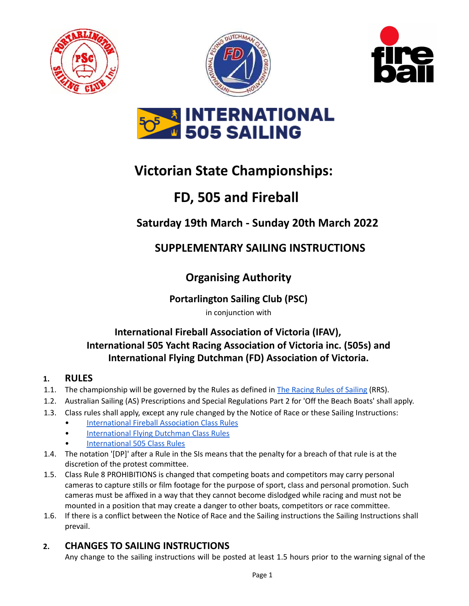







# **Victorian State Championships:**

# **FD, 505 and Fireball**

# **Saturday 19th March - Sunday 20th March 2022**

# **SUPPLEMENTARY SAILING INSTRUCTIONS**

# **Organising Authority**

## **Portarlington Sailing Club (PSC)**

in conjunction with

## **International Fireball Association of Victoria (IFAV), International 505 Yacht Racing Association of Victoria inc. (505s) and International Flying Dutchman (FD) Association of Victoria.**

#### **1. RULES**

- 1.1. The championship will be governed by the Rules as defined in The [Racing](https://cdn.revolutionise.com.au/site/hrya1mz0ijmfcshb.pdf) Rules of Sailing (RRS).
- 1.2. Australian Sailing (AS) Prescriptions and Special Regulations Part 2 for 'Off the Beach Boats' shall apply.
- 1.3. Class rules shall apply, except any rule changed by the Notice of Race or these Sailing Instructions:
	- **[International](https://www.fireball-international.com/media/87171/IFCR2021.pdf) Fireball Association Class Rules**
	- **[International](https://www.sailing.org/tools/documents/FD2016CR09032016-%5B20424%5D.pdf) Flying Dutchman Class Rules**
	- [International](https://www.int505.org/about-the-505/resources-for-sailors/class-rules/) 505 Class Rules
- 1.4. The notation '[DP]' after a Rule in the SIs means that the penalty for a breach of that rule is at the discretion of the protest committee.
- 1.5. Class Rule 8 PROHIBITIONS is changed that competing boats and competitors may carry personal cameras to capture stills or film footage for the purpose of sport, class and personal promotion. Such cameras must be affixed in a way that they cannot become dislodged while racing and must not be mounted in a position that may create a danger to other boats, competitors or race committee.
- 1.6. If there is a conflict between the Notice of Race and the Sailing instructions the Sailing Instructions shall prevail.

### **2. CHANGES TO SAILING INSTRUCTIONS**

Any change to the sailing instructions will be posted at least 1.5 hours prior to the warning signal of the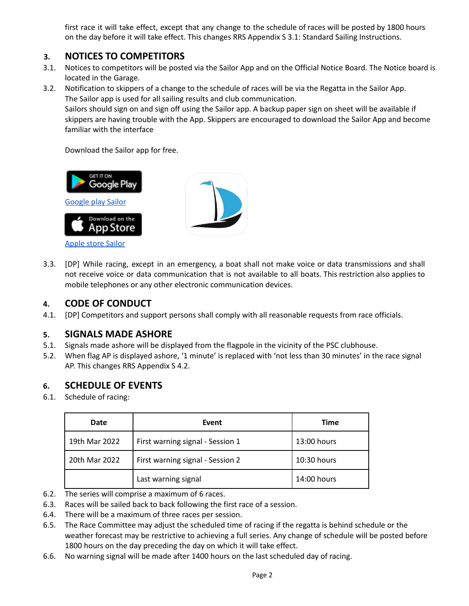first race it will take effect, except that any change to the schedule of races will be posted by 1800 hours on the day before it will take effect. This changes RRS Appendix S 3.1: Standard Sailing Instructions.

#### **3. NOTICES TO COMPETITORS**

3.1. Notices to competitors will be posted via the Sailor App and on the Official Notice Board. The Notice board is located in the Garage.

3.2. Notification to skippers of a change to the schedule of races will be via the Regatta in the Sailor App. The Sailor app is used for all sailing results and club communication. Sailors should sign on and sign off using the Sailor app. A backup paper sign on sheet will be available if skippers are having trouble with the App. Skippers are encouraged to download the Sailor App and become familiar with the interface

Download the Sailor app for free.



3.3. [DP] While racing, except in an emergency, a boat shall not make voice or data transmissions and shall not receive voice or data communication that is not available to all boats. This restriction also applies to mobile telephones or any other electronic communication devices.

#### **4. CODE OF CONDUCT**

4.1. [DP] Competitors and support persons shall comply with all reasonable requests from race officials.

#### **5. SIGNALS MADE ASHORE**

- 5.1. Signals made ashore will be displayed from the flagpole in the vicinity of the PSC clubhouse.
- 5.2. When flag AP is displayed ashore, '1 minute' is replaced with 'not less than 30 minutes' in the race signal AP. This changes RRS Appendix S 4.2.

#### **6. SCHEDULE OF EVENTS**

6.1. Schedule of racing:

| Date          | Event                            | <b>Time</b>   |
|---------------|----------------------------------|---------------|
| 19th Mar 2022 | First warning signal - Session 1 | $13:00$ hours |
| 20th Mar 2022 | First warning signal - Session 2 | 10:30 hours   |
|               | Last warning signal              | 14:00 hours   |

- 6.2. The series will comprise a maximum of 6 races.
- 6.3. Races will be sailed back to back following the first race of a session.
- 6.4. There will be a maximum of three races per session.
- 6.5. The Race Committee may adjust the scheduled time of racing if the regatta is behind schedule or the weather forecast may be restrictive to achieving a full series. Any change of schedule will be posted before 1800 hours on the day preceding the day on which it will take effect.
- 6.6. No warning signal will be made after 1400 hours on the last scheduled day of racing.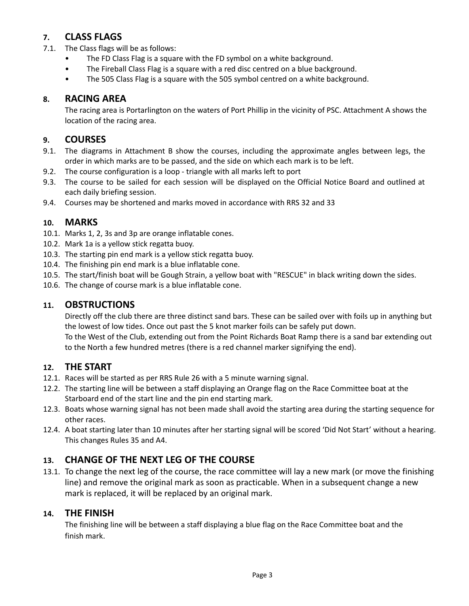### **7. CLASS FLAGS**

- 7.1. The Class flags will be as follows:
	- The FD Class Flag is a square with the FD symbol on a white background.
	- The Fireball Class Flag is a square with a red disc centred on a blue background.
	- The 505 Class Flag is a square with the 505 symbol centred on a white background.

#### **8. RACING AREA**

The racing area is Portarlington on the waters of Port Phillip in the vicinity of PSC. Attachment A shows the location of the racing area.

#### **9. COURSES**

- 9.1. The diagrams in Attachment B show the courses, including the approximate angles between legs, the order in which marks are to be passed, and the side on which each mark is to be left.
- 9.2. The course configuration is a loop triangle with all marks left to port
- 9.3. The course to be sailed for each session will be displayed on the Official Notice Board and outlined at each daily briefing session.
- 9.4. Courses may be shortened and marks moved in accordance with RRS 32 and 33

#### **10. MARKS**

- 10.1. Marks 1, 2, 3s and 3p are orange inflatable cones.
- 10.2. Mark 1a is a yellow stick regatta buoy.
- 10.3. The starting pin end mark is a yellow stick regatta buoy.
- 10.4. The finishing pin end mark is a blue inflatable cone.
- 10.5. The start/finish boat will be Gough Strain, a yellow boat with "RESCUE" in black writing down the sides.
- 10.6. The change of course mark is a blue inflatable cone.

#### **11. OBSTRUCTIONS**

Directly off the club there are three distinct sand bars. These can be sailed over with foils up in anything but the lowest of low tides. Once out past the 5 knot marker foils can be safely put down.

To the West of the Club, extending out from the Point Richards Boat Ramp there is a sand bar extending out to the North a few hundred metres (there is a red channel marker signifying the end).

#### **12. THE START**

- 12.1. Races will be started as per RRS Rule 26 with a 5 minute warning signal.
- 12.2. The starting line will be between a staff displaying an Orange flag on the Race Committee boat at the Starboard end of the start line and the pin end starting mark.
- 12.3. Boats whose warning signal has not been made shall avoid the starting area during the starting sequence for other races.
- 12.4. A boat starting later than 10 minutes after her starting signal will be scored 'Did Not Start' without a hearing. This changes Rules 35 and A4.

### **13. CHANGE OF THE NEXT LEG OF THE COURSE**

13.1. To change the next leg of the course, the race committee will lay a new mark (or move the finishing line) and remove the original mark as soon as practicable. When in a subsequent change a new mark is replaced, it will be replaced by an original mark.

#### **14. THE FINISH**

The finishing line will be between a staff displaying a blue flag on the Race Committee boat and the finish mark.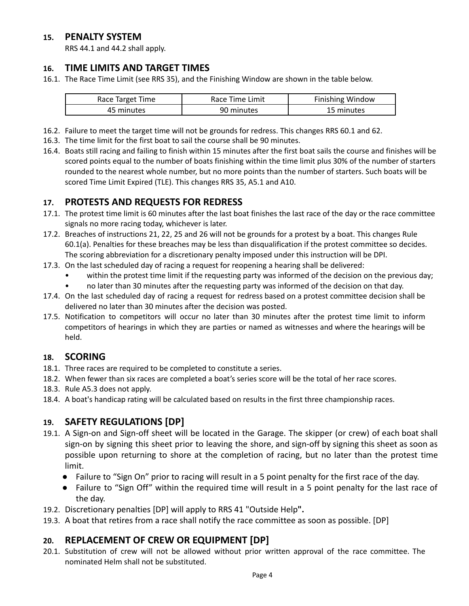#### **15. PENALTY SYSTEM**

RRS 44.1 and 44.2 shall apply.

#### **16. TIME LIMITS AND TARGET TIMES**

16.1. The Race Time Limit (see RRS 35), and the Finishing Window are shown in the table below.

| Race Target Time | Race Time Limit | <b>Finishing Window</b> |
|------------------|-----------------|-------------------------|
| 45 minutes       | 90 minutes      | 15 minutes              |

- 16.2. Failure to meet the target time will not be grounds for redress. This changes RRS 60.1 and 62.
- 16.3. The time limit for the first boat to sail the course shall be 90 minutes.
- 16.4. Boats still racing and failing to finish within 15 minutes after the first boat sails the course and finishes will be scored points equal to the number of boats finishing within the time limit plus 30% of the number of starters rounded to the nearest whole number, but no more points than the number of starters. Such boats will be scored Time Limit Expired (TLE). This changes RRS 35, A5.1 and A10.

#### **17. PROTESTS AND REQUESTS FOR REDRESS**

- 17.1. The protest time limit is 60 minutes after the last boat finishes the last race of the day or the race committee signals no more racing today, whichever is later.
- 17.2. Breaches of instructions 21, 22, 25 and 26 will not be grounds for a protest by a boat. This changes Rule 60.1(a). Penalties for these breaches may be less than disqualification if the protest committee so decides. The scoring abbreviation for a discretionary penalty imposed under this instruction will be DPI.
- 17.3. On the last scheduled day of racing a request for reopening a hearing shall be delivered:
	- within the protest time limit if the requesting party was informed of the decision on the previous day;
	- no later than 30 minutes after the requesting party was informed of the decision on that day.
- 17.4. On the last scheduled day of racing a request for redress based on a protest committee decision shall be delivered no later than 30 minutes after the decision was posted.
- 17.5. Notification to competitors will occur no later than 30 minutes after the protest time limit to inform competitors of hearings in which they are parties or named as witnesses and where the hearings will be held.

#### **18. SCORING**

- 18.1. Three races are required to be completed to constitute a series.
- 18.2. When fewer than six races are completed a boat's series score will be the total of her race scores.
- 18.3. Rule A5.3 does not apply.
- 18.4. A boat's handicap rating will be calculated based on results in the first three championship races.

#### **19. SAFETY REGULATIONS [DP]**

- 19.1. A Sign-on and Sign-off sheet will be located in the Garage. The skipper (or crew) of each boat shall sign-on by signing this sheet prior to leaving the shore, and sign-off by signing this sheet as soon as possible upon returning to shore at the completion of racing, but no later than the protest time limit.
	- Failure to "Sign On" prior to racing will result in a 5 point penalty for the first race of the day.
	- Failure to "Sign Off" within the required time will result in a 5 point penalty for the last race of the day.
- 19.2. Discretionary penalties [DP] will apply to RRS 41 "Outside Help**".**
- 19.3. A boat that retires from a race shall notify the race committee as soon as possible. [DP]

#### **20. REPLACEMENT OF CREW OR EQUIPMENT [DP]**

20.1. Substitution of crew will not be allowed without prior written approval of the race committee. The nominated Helm shall not be substituted.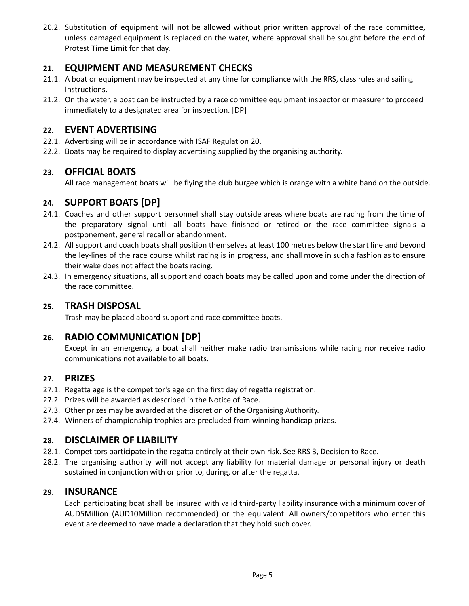20.2. Substitution of equipment will not be allowed without prior written approval of the race committee, unless damaged equipment is replaced on the water, where approval shall be sought before the end of Protest Time Limit for that day.

#### **21. EQUIPMENT AND MEASUREMENT CHECKS**

- 21.1. A boat or equipment may be inspected at any time for compliance with the RRS, class rules and sailing Instructions.
- 21.2. On the water, a boat can be instructed by a race committee equipment inspector or measurer to proceed immediately to a designated area for inspection. [DP]

#### **22. EVENT ADVERTISING**

- 22.1. Advertising will be in accordance with ISAF Regulation 20.
- 22.2. Boats may be required to display advertising supplied by the organising authority.

#### **23. OFFICIAL BOATS**

All race management boats will be flying the club burgee which is orange with a white band on the outside.

#### **24. SUPPORT BOATS [DP]**

- 24.1. Coaches and other support personnel shall stay outside areas where boats are racing from the time of the preparatory signal until all boats have finished or retired or the race committee signals a postponement, general recall or abandonment.
- 24.2. All support and coach boats shall position themselves at least 100 metres below the start line and beyond the ley-lines of the race course whilst racing is in progress, and shall move in such a fashion as to ensure their wake does not affect the boats racing.
- 24.3. In emergency situations, all support and coach boats may be called upon and come under the direction of the race committee.

#### **25. TRASH DISPOSAL**

Trash may be placed aboard support and race committee boats.

#### **26. RADIO COMMUNICATION [DP]**

Except in an emergency, a boat shall neither make radio transmissions while racing nor receive radio communications not available to all boats.

#### **27. PRIZES**

- 27.1. Regatta age is the competitor's age on the first day of regatta registration.
- 27.2. Prizes will be awarded as described in the Notice of Race.
- 27.3. Other prizes may be awarded at the discretion of the Organising Authority.
- 27.4. Winners of championship trophies are precluded from winning handicap prizes.

#### **28. DISCLAIMER OF LIABILITY**

- 28.1. Competitors participate in the regatta entirely at their own risk. See RRS 3, Decision to Race.
- 28.2. The organising authority will not accept any liability for material damage or personal injury or death sustained in conjunction with or prior to, during, or after the regatta.

#### **29. INSURANCE**

Each participating boat shall be insured with valid third-party liability insurance with a minimum cover of AUD5Million (AUD10Million recommended) or the equivalent. All owners/competitors who enter this event are deemed to have made a declaration that they hold such cover.